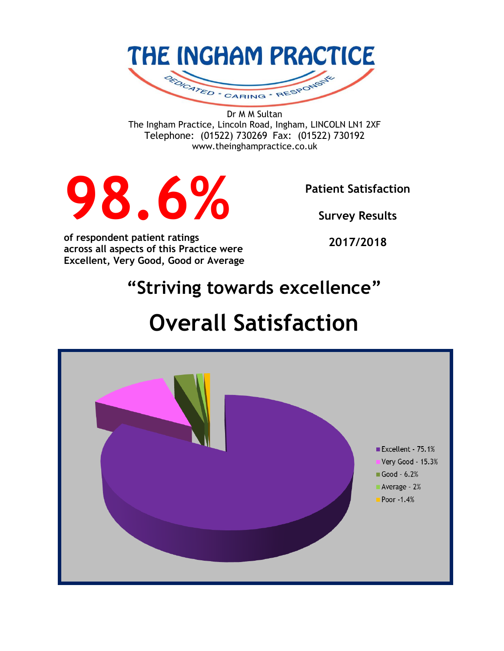

Dr M M Sultan The Ingham Practice, Lincoln Road, Ingham, LINCOLN LN1 2XF Telephone: (01522) 730269 Fax: (01522) 730192 www.theinghampractice.co.uk



**Patient Satisfaction** 

**Survey Results**

**of respondent patient ratings across all aspects of this Practice were Excellent, Very Good, Good or Average**

**2017/2018**

# **"Striving towards excellence"**

# **Overall Satisfaction**

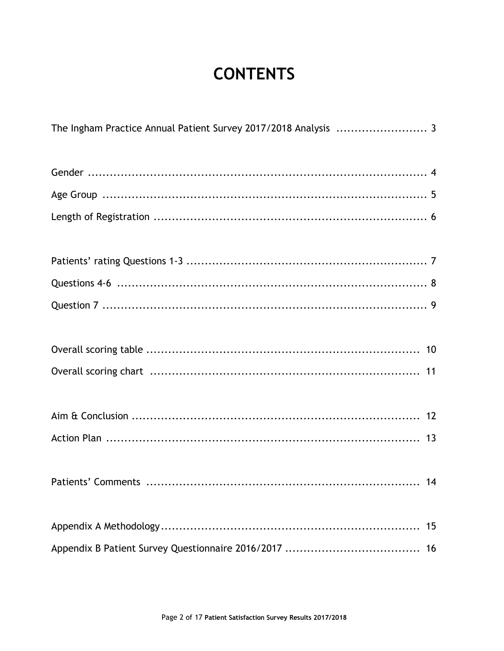## **CONTENTS**

| The Ingham Practice Annual Patient Survey 2017/2018 Analysis  3 |    |
|-----------------------------------------------------------------|----|
|                                                                 |    |
|                                                                 |    |
|                                                                 |    |
|                                                                 |    |
|                                                                 |    |
|                                                                 |    |
|                                                                 |    |
|                                                                 |    |
|                                                                 |    |
|                                                                 |    |
|                                                                 |    |
|                                                                 | 15 |
|                                                                 | 16 |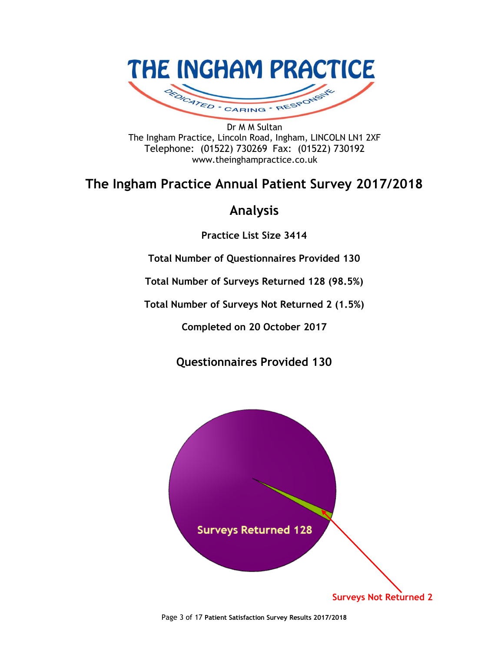

Dr M M Sultan The Ingham Practice, Lincoln Road, Ingham, LINCOLN LN1 2XF Telephone: (01522) 730269 Fax: (01522) 730192 www.theinghampractice.co.uk

### **The Ingham Practice Annual Patient Survey 2017/2018**

### **Analysis**

**Practice List Size 3414**

**Total Number of Questionnaires Provided 130**

**Total Number of Surveys Returned 128 (98.5%)**

**Total Number of Surveys Not Returned 2 (1.5%)**

**Completed on 20 October 2017**

**Questionnaires Provided 130**



Page 3 of 17 **Patient Satisfaction Survey Results 2017/2018**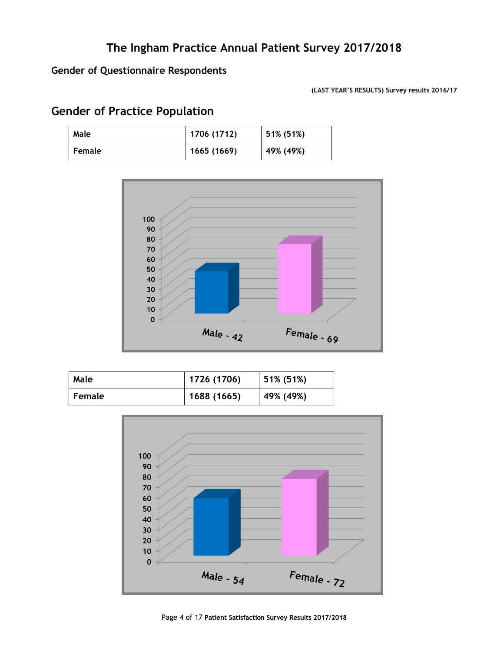### **Gender of Questionnaire Respondents**

**(LAST YEAR'S RESULTS) Survey results 2016/17**

### **Gender of Practice Population**

| Male          | 1706 (1712) | 51% (51%) |
|---------------|-------------|-----------|
| <b>Female</b> | 1665 (1669) | 49% (49%) |



| Male          | 1726 (1706) | 51% (51%) |
|---------------|-------------|-----------|
| <b>Female</b> | 1688 (1665) | 49% (49%) |

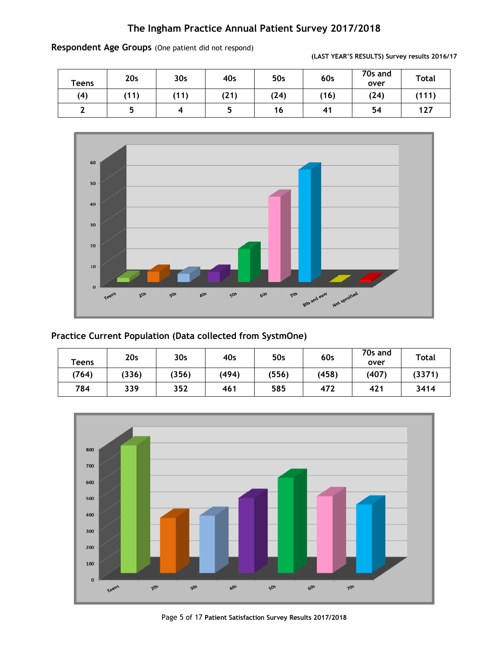| <b>Teens</b> | 20 <sub>s</sub> | 30 <sub>s</sub> | 40s  | 50s  | 60s  | 70s and<br>over | <b>Total</b> |
|--------------|-----------------|-----------------|------|------|------|-----------------|--------------|
| (4)          | (11)            | (11)            | (21) | (24) | (16) | (24)            | (111)        |
|              |                 |                 |      | 16   | 41   | 54              | 127          |



**(LAST YEAR'S RESULTS) Survey results 2016/17**



### **Practice Current Population (Data collected from SystmOne)**

| Teens | 20s   | 30 <sub>s</sub> | 40s   | 50s   | 60s   | 70s and<br>over | <b>Total</b> |
|-------|-------|-----------------|-------|-------|-------|-----------------|--------------|
| (764) | (336) | (356)           | (494) | (556) | (458) | (407)           | (3371)       |
| 784   | 339   | 352             | 461   | 585   | 472   | 421             | 3414         |



Page 5 of 17 **Patient Satisfaction Survey Results 2017/2018**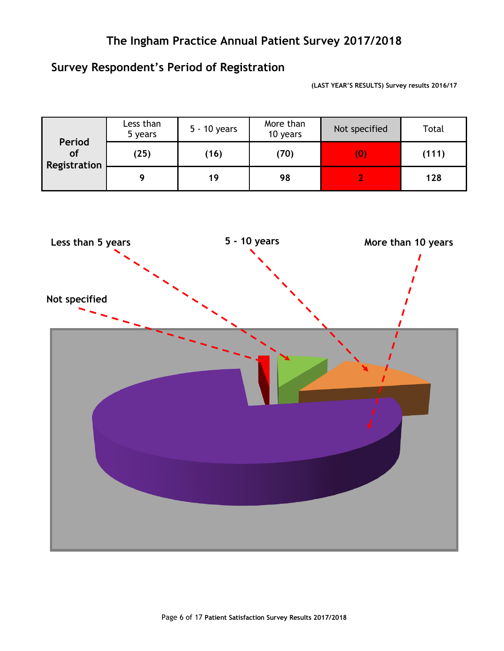### **Survey Respondent's Period of Registration**

**(LAST YEAR'S RESULTS) Survey results 2016/17**

| Period                    | Less than<br>5 years | 5 - 10 years | More than<br>10 years | Not specified | Total |
|---------------------------|----------------------|--------------|-----------------------|---------------|-------|
| <b>of</b><br>Registration | (25)                 | (16)         | (70)                  | (0)           | (111) |
|                           |                      | 19           | 98                    |               | 128   |

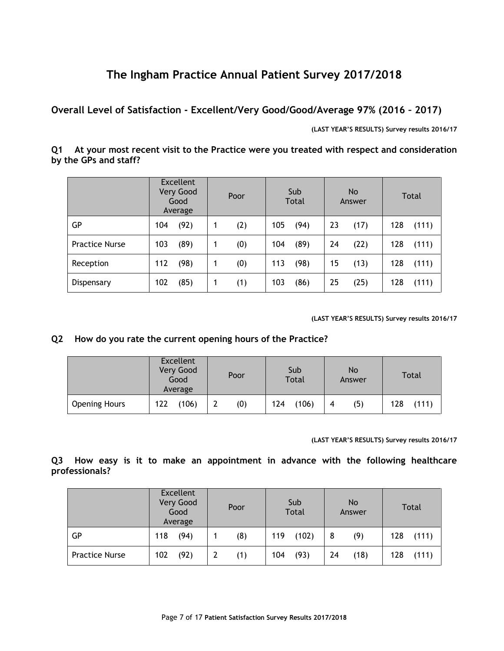**Overall Level of Satisfaction - Excellent/Very Good/Good/Average 97% (2016 – 2017)**

**(LAST YEAR'S RESULTS) Survey results 2016/17**

**Q1 At your most recent visit to the Practice were you treated with respect and consideration by the GPs and staff?**

|                       | <b>Excellent</b><br>Very Good<br>Good<br>Average | Poor | Sub<br><b>Total</b> | No.<br>Answer | Total |
|-----------------------|--------------------------------------------------|------|---------------------|---------------|-------|
| GР                    | (92)                                             | (2)  | 105                 | 23            | 128   |
|                       | 104                                              | 1    | (94)                | (17)          | (111) |
| <b>Practice Nurse</b> | 103                                              | (0)  | 104                 | 24            | 128   |
|                       | (89)                                             | 1    | (89)                | (22)          | (111) |
| Reception             | 112                                              | (0)  | 113                 | 15            | 128   |
|                       | (98)                                             | 1    | (98)                | (13)          | (111) |
| Dispensary            | 102                                              | (1)  | 103                 | 25            | 128   |
|                       | (85)                                             | 1    | (86)                | (25)          | (111) |

**(LAST YEAR'S RESULTS) Survey results 2016/17**

### **Q2 How do you rate the current opening hours of the Practice?**

|                      | Excellent<br>Very Good<br>Good<br>Average | Poor | Sub<br>Total | <b>No</b><br>Answer | Total        |  |
|----------------------|-------------------------------------------|------|--------------|---------------------|--------------|--|
| <b>Opening Hours</b> | 122<br>(106)                              | (0)  | 124<br>(106) | (5)<br>4            | 128<br>(111) |  |

**(LAST YEAR'S RESULTS) Survey results 2016/17**

**Q3 How easy is it to make an appointment in advance with the following healthcare professionals?**

|                       | <b>Excellent</b><br>Very Good<br>Good<br>Average |      | Poor |     | Sub<br><b>Total</b> |    | <b>No</b><br>Answer |     | <b>Total</b> |
|-----------------------|--------------------------------------------------|------|------|-----|---------------------|----|---------------------|-----|--------------|
| GР                    | 118                                              | (94) | (8)  | 119 | (102)               | 8  | (9)                 | 128 | (111)        |
| <b>Practice Nurse</b> | 102                                              | (92) | (1)  | 104 | (93)                | 24 | (18)                | 128 | (111)        |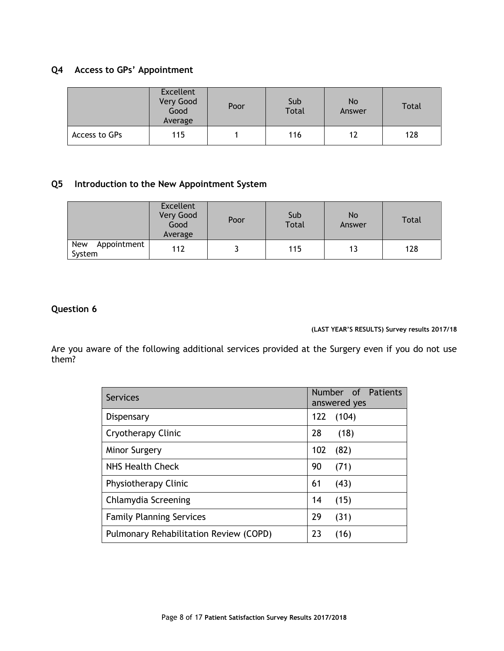### **Q4 Access to GPs' Appointment**

|               | <b>Excellent</b><br>Very Good<br>Good<br>Average | Poor | Sub<br><b>Total</b> | <b>No</b><br>Answer | <b>Total</b> |
|---------------|--------------------------------------------------|------|---------------------|---------------------|--------------|
| Access to GPs | 115                                              |      | 116                 | 12                  | 128          |

### **Q5 Introduction to the New Appointment System**

|                              | <b>Excellent</b><br>Very Good<br>Good<br>Average | Poor | Sub<br><b>Total</b> | No<br>Answer | <b>Total</b> |
|------------------------------|--------------------------------------------------|------|---------------------|--------------|--------------|
| New<br>Appointment<br>System | 112                                              |      | 115                 | 13           | 128          |

### **Question 6**

**(LAST YEAR'S RESULTS) Survey results 2017/18**

Are you aware of the following additional services provided at the Surgery even if you do not use them?

| <b>Services</b>                        | Number of Patients<br>answered yes |
|----------------------------------------|------------------------------------|
| Dispensary                             | 122<br>(104)                       |
| Cryotherapy Clinic                     | 28<br>(18)                         |
| <b>Minor Surgery</b>                   | (82)<br>102                        |
| NHS Health Check                       | 90<br>(71)                         |
| Physiotherapy Clinic                   | 61<br>(43)                         |
| Chlamydia Screening                    | 14<br>(15)                         |
| <b>Family Planning Services</b>        | 29<br>(31)                         |
| Pulmonary Rehabilitation Review (COPD) | 23<br>(16)                         |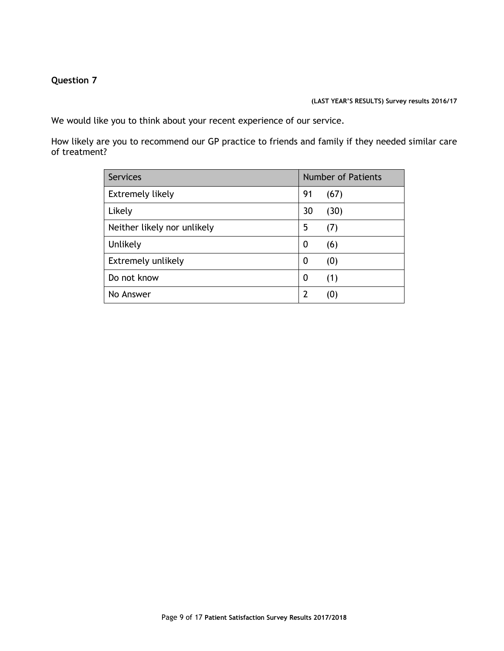### **Question 7**

#### **(LAST YEAR'S RESULTS) Survey results 2016/17**

We would like you to think about your recent experience of our service.

How likely are you to recommend our GP practice to friends and family if they needed similar care of treatment?

| <b>Services</b>             | <b>Number of Patients</b> |      |  |
|-----------------------------|---------------------------|------|--|
| <b>Extremely likely</b>     | 91                        | (67) |  |
| Likely                      | 30                        | (30) |  |
| Neither likely nor unlikely | 5                         | (7)  |  |
| Unlikely                    | 0                         | (6)  |  |
| Extremely unlikely          | 0                         | (0)  |  |
| Do not know                 | 0                         | (1)  |  |
| No Answer                   | 2                         | (0)  |  |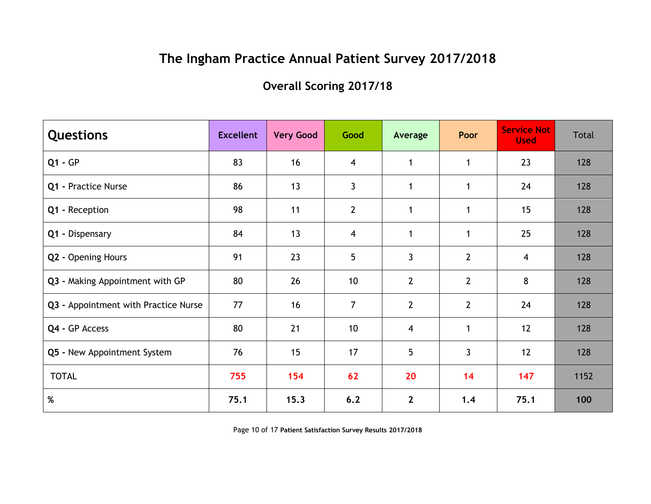### **Overall Scoring 2017/18**

| <b>Questions</b>                     | <b>Excellent</b> | <b>Very Good</b> | Good             | Average        | Poor           | <b>Service Not</b><br><b>Used</b> | Total |
|--------------------------------------|------------------|------------------|------------------|----------------|----------------|-----------------------------------|-------|
| $Q1 - GP$                            | 83               | 16               | $\overline{4}$   | 1              | $\mathbf{1}$   | 23                                | 128   |
| Q1 - Practice Nurse                  | 86               | 13               | $\mathbf{3}$     | 1              | $\mathbf{1}$   | 24                                | 128   |
| Q1 - Reception                       | 98               | 11               | $2 \overline{ }$ | 1              | $\mathbf{1}$   | 15                                | 128   |
| Q1 - Dispensary                      | 84               | 13               | $\overline{4}$   | $\mathbf{1}$   | $\mathbf{1}$   | 25                                | 128   |
| Q2 - Opening Hours                   | 91               | 23               | 5                | $\overline{3}$ | $\overline{2}$ | 4                                 | 128   |
| Q3 - Making Appointment with GP      | 80               | 26               | 10               | $\overline{2}$ | $\overline{2}$ | 8                                 | 128   |
| Q3 - Appointment with Practice Nurse | 77               | 16               | $\overline{7}$   | $\overline{2}$ | $2^{\circ}$    | 24                                | 128   |
| Q4 - GP Access                       | 80               | 21               | 10               | $\overline{4}$ | $\mathbf{1}$   | 12                                | 128   |
| Q5 - New Appointment System          | 76               | 15               | 17               | 5              | $\mathbf{3}$   | 12                                | 128   |
| <b>TOTAL</b>                         | 755              | 154              | 62               | 20             | 14             | 147                               | 1152  |
| $\%$                                 | 75.1             | 15.3             | 6.2              | $\mathbf{2}$   | 1.4            | 75.1                              | 100   |

Page 10 of 17 **Patient Satisfaction Survey Results 2017/2018**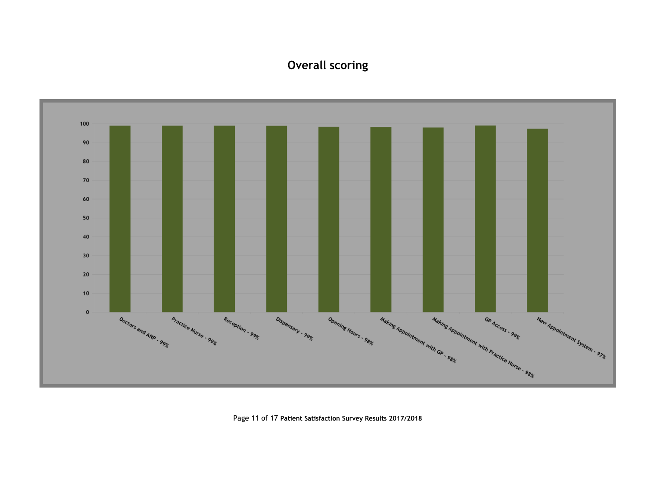### **Overall scoring**



Page 11 of 17 **Patient Satisfaction Survey Results 2017/2018**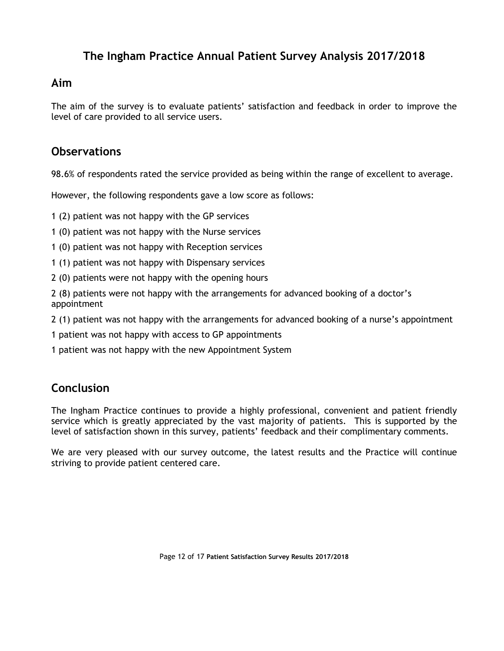### **Aim**

The aim of the survey is to evaluate patients' satisfaction and feedback in order to improve the level of care provided to all service users.

### **Observations**

98.6% of respondents rated the service provided as being within the range of excellent to average.

However, the following respondents gave a low score as follows:

1 (2) patient was not happy with the GP services

1 (0) patient was not happy with the Nurse services

- 1 (0) patient was not happy with Reception services
- 1 (1) patient was not happy with Dispensary services
- 2 (0) patients were not happy with the opening hours

2 (8) patients were not happy with the arrangements for advanced booking of a doctor's appointment

2 (1) patient was not happy with the arrangements for advanced booking of a nurse's appointment

1 patient was not happy with access to GP appointments

1 patient was not happy with the new Appointment System

### **Conclusion**

The Ingham Practice continues to provide a highly professional, convenient and patient friendly service which is greatly appreciated by the vast majority of patients. This is supported by the level of satisfaction shown in this survey, patients' feedback and their complimentary comments.

We are very pleased with our survey outcome, the latest results and the Practice will continue striving to provide patient centered care.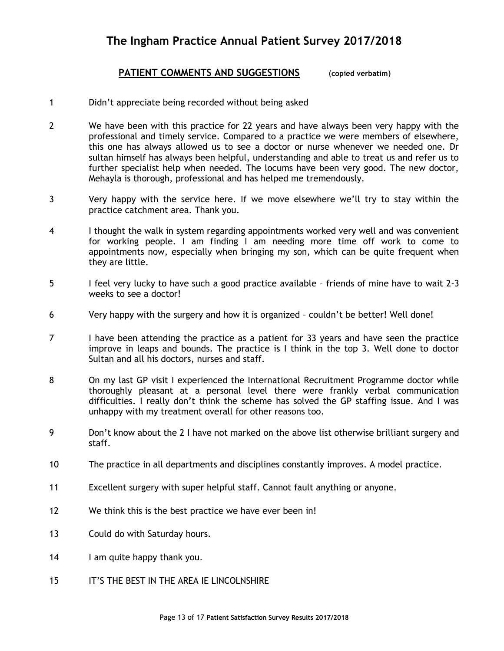### **PATIENT COMMENTS AND SUGGESTIONS** (**copied verbatim**)

- 1 Didn't appreciate being recorded without being asked
- 2 We have been with this practice for 22 years and have always been very happy with the professional and timely service. Compared to a practice we were members of elsewhere, this one has always allowed us to see a doctor or nurse whenever we needed one. Dr sultan himself has always been helpful, understanding and able to treat us and refer us to further specialist help when needed. The locums have been very good. The new doctor, Mehayla is thorough, professional and has helped me tremendously.
- 3 Very happy with the service here. If we move elsewhere we'll try to stay within the practice catchment area. Thank you.
- 4 I thought the walk in system regarding appointments worked very well and was convenient for working people. I am finding I am needing more time off work to come to appointments now, especially when bringing my son, which can be quite frequent when they are little.
- 5 I feel very lucky to have such a good practice available friends of mine have to wait 2-3 weeks to see a doctor!
- 6 Very happy with the surgery and how it is organized couldn't be better! Well done!
- 7 I have been attending the practice as a patient for 33 years and have seen the practice improve in leaps and bounds. The practice is I think in the top 3. Well done to doctor Sultan and all his doctors, nurses and staff.
- 8 On my last GP visit I experienced the International Recruitment Programme doctor while thoroughly pleasant at a personal level there were frankly verbal communication difficulties. I really don't think the scheme has solved the GP staffing issue. And I was unhappy with my treatment overall for other reasons too.
- 9 Don't know about the 2 I have not marked on the above list otherwise brilliant surgery and staff.
- 10 The practice in all departments and disciplines constantly improves. A model practice.
- 11 Excellent surgery with super helpful staff. Cannot fault anything or anyone.
- 12 We think this is the best practice we have ever been in!
- 13 Could do with Saturday hours.
- 14 I am quite happy thank you.
- 15 IT'S THE BEST IN THE AREA IE LINCOLNSHIRE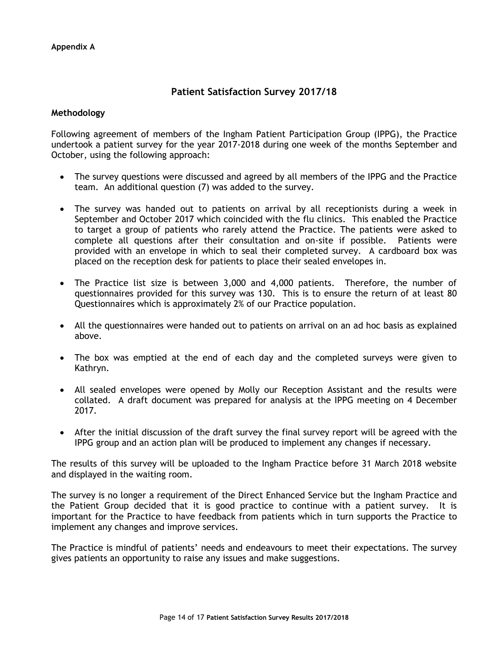### **Patient Satisfaction Survey 2017/18**

#### **Methodology**

Following agreement of members of the Ingham Patient Participation Group (IPPG), the Practice undertook a patient survey for the year 2017-2018 during one week of the months September and October, using the following approach:

- The survey questions were discussed and agreed by all members of the IPPG and the Practice team. An additional question (7) was added to the survey.
- The survey was handed out to patients on arrival by all receptionists during a week in September and October 2017 which coincided with the flu clinics. This enabled the Practice to target a group of patients who rarely attend the Practice. The patients were asked to complete all questions after their consultation and on-site if possible. Patients were provided with an envelope in which to seal their completed survey. A cardboard box was placed on the reception desk for patients to place their sealed envelopes in.
- The Practice list size is between 3,000 and 4,000 patients. Therefore, the number of questionnaires provided for this survey was 130. This is to ensure the return of at least 80 Questionnaires which is approximately 2% of our Practice population.
- All the questionnaires were handed out to patients on arrival on an ad hoc basis as explained above.
- The box was emptied at the end of each day and the completed surveys were given to Kathryn.
- All sealed envelopes were opened by Molly our Reception Assistant and the results were collated. A draft document was prepared for analysis at the IPPG meeting on 4 December 2017.
- After the initial discussion of the draft survey the final survey report will be agreed with the IPPG group and an action plan will be produced to implement any changes if necessary.

The results of this survey will be uploaded to the Ingham Practice before 31 March 2018 website and displayed in the waiting room.

The survey is no longer a requirement of the Direct Enhanced Service but the Ingham Practice and the Patient Group decided that it is good practice to continue with a patient survey. It is important for the Practice to have feedback from patients which in turn supports the Practice to implement any changes and improve services.

The Practice is mindful of patients' needs and endeavours to meet their expectations. The survey gives patients an opportunity to raise any issues and make suggestions.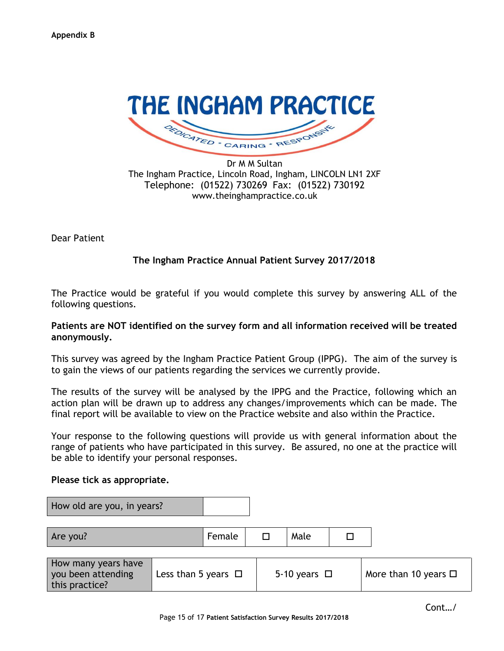

Dr M M Sultan The Ingham Practice, Lincoln Road, Ingham, LINCOLN LN1 2XF Telephone: (01522) 730269 Fax: (01522) 730192 www.theinghampractice.co.uk

Dear Patient

### **The Ingham Practice Annual Patient Survey 2017/2018**

The Practice would be grateful if you would complete this survey by answering ALL of the following questions.

### **Patients are NOT identified on the survey form and all information received will be treated anonymously.**

This survey was agreed by the Ingham Practice Patient Group (IPPG). The aim of the survey is to gain the views of our patients regarding the services we currently provide.

The results of the survey will be analysed by the IPPG and the Practice, following which an action plan will be drawn up to address any changes/improvements which can be made. The final report will be available to view on the Practice website and also within the Practice.

Your response to the following questions will provide us with general information about the range of patients who have participated in this survey. Be assured, no one at the practice will be able to identify your personal responses.

#### **Please tick as appropriate.**

| How old are you, in years?                                  |                          |        |                   |                           |
|-------------------------------------------------------------|--------------------------|--------|-------------------|---------------------------|
| Are you?                                                    |                          | Female | Male              |                           |
| How many years have<br>you been attending<br>this practice? | Less than 5 years $\Box$ |        | 5-10 years $\Box$ | More than 10 years $\Box$ |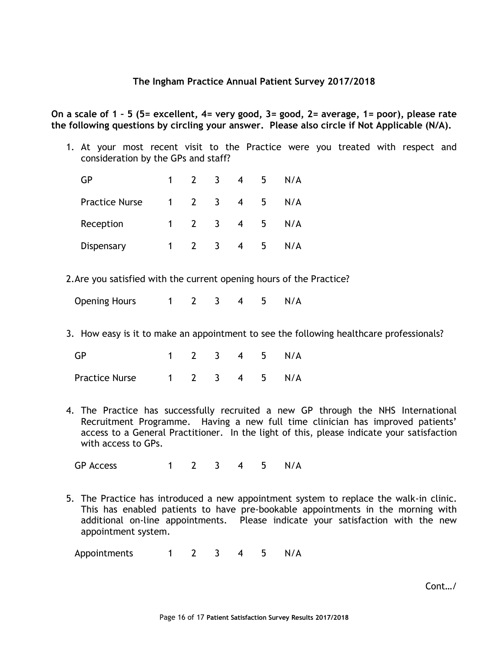**On a scale of 1 – 5 (5= excellent, 4= very good, 3= good, 2= average, 1= poor), please rate the following questions by circling your answer. Please also circle if Not Applicable (N/A).**

1. At your most recent visit to the Practice were you treated with respect and consideration by the GPs and staff?

| GP                    |    |             | 3                       |                | ל | N/A |
|-----------------------|----|-------------|-------------------------|----------------|---|-----|
| <b>Practice Nurse</b> |    | $1 \quad 2$ | $\overline{\mathbf{3}}$ | $\overline{4}$ | 5 | N/A |
| Reception             | 1. |             | $\overline{\mathbf{3}}$ | $\overline{4}$ | 5 | N/A |
| Dispensary            |    |             | $\overline{3}$          | 4              | 5 | N/A |

2.Are you satisfied with the current opening hours of the Practice?

Opening Hours 1 2 3 4 5 N/A

3. How easy is it to make an appointment to see the following healthcare professionals?

| <b>GP</b>      |  |  | 1 2 3 4 5 N/A |
|----------------|--|--|---------------|
| Practice Nurse |  |  | 1 2 3 4 5 N/A |

4. The Practice has successfully recruited a new GP through the NHS International Recruitment Programme. Having a new full time clinician has improved patients' access to a General Practitioner. In the light of this, please indicate your satisfaction with access to GPs.

GP Access 1 2 3 4 5 N/A

5. The Practice has introduced a new appointment system to replace the walk-in clinic. This has enabled patients to have pre-bookable appointments in the morning with additional on-line appointments. Please indicate your satisfaction with the new appointment system.

Appointments 1 2 3 4 5 N/A

Cont…/